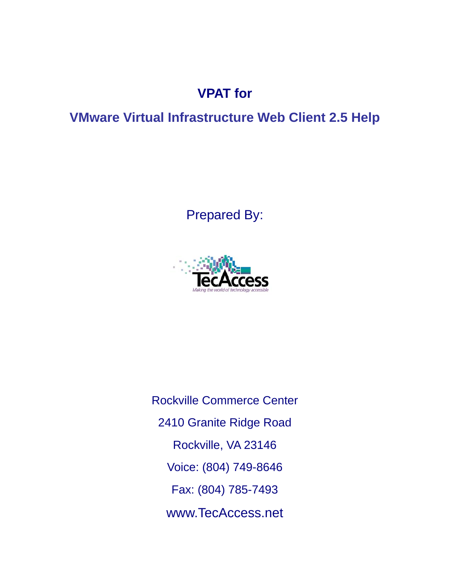# **VPAT for**

## **VMware Virtual Infrastructure Web Client 2.5 Help**

# Prepared By:



Rockville Commerce Center 2410 Granite Ridge Road Rockville, VA 23146 Voice: (804) 749-8646 Fax: (804) 785-7493 www.TecAccess.net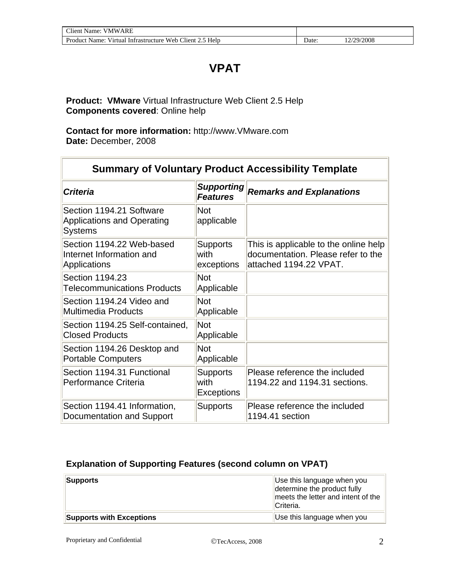## **VPAT**

**Product: VMware** Virtual Infrastructure Web Client 2.5 Help **Components covered**: Online help

**Contact for more information:** http://www.VMware.com **Date:** December, 2008

| <b>Summary of Voluntary Product Accessibility Template</b>                      |                                              |                                                                                                       |  |
|---------------------------------------------------------------------------------|----------------------------------------------|-------------------------------------------------------------------------------------------------------|--|
| <b>Criteria</b>                                                                 | <b>Supporting</b><br><b>Features</b>         | <b>Remarks and Explanations</b>                                                                       |  |
| Section 1194.21 Software<br><b>Applications and Operating</b><br><b>Systems</b> | <b>Not</b><br>applicable                     |                                                                                                       |  |
| Section 1194.22 Web-based<br>Internet Information and<br>Applications           | <b>Supports</b><br>with<br>exceptions        | This is applicable to the online help<br>documentation. Please refer to the<br>attached 1194.22 VPAT. |  |
| Section 1194.23<br><b>Telecommunications Products</b>                           | <b>Not</b><br>Applicable                     |                                                                                                       |  |
| Section 1194.24 Video and<br>Multimedia Products                                | <b>Not</b><br>Applicable                     |                                                                                                       |  |
| Section 1194.25 Self-contained,<br><b>Closed Products</b>                       | <b>Not</b><br>Applicable                     |                                                                                                       |  |
| Section 1194.26 Desktop and<br><b>Portable Computers</b>                        | <b>Not</b><br>Applicable                     |                                                                                                       |  |
| Section 1194.31 Functional<br>Performance Criteria                              | <b>Supports</b><br>with<br><b>Exceptions</b> | Please reference the included<br>1194.22 and 1194.31 sections.                                        |  |
| Section 1194.41 Information,<br>Documentation and Support                       | <b>Supports</b>                              | Please reference the included<br>1194.41 section                                                      |  |

#### **Explanation of Supporting Features (second column on VPAT)**

| Supports                 | Use this language when you<br>determine the product fully<br>meets the letter and intent of the<br>Criteria. |
|--------------------------|--------------------------------------------------------------------------------------------------------------|
| Supports with Exceptions | Use this language when you                                                                                   |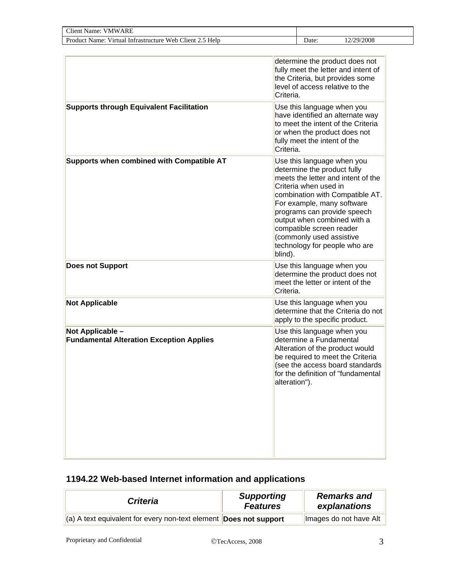| <b>Client Name: VMWARE</b>                                          |               |                                                                               |                                                                                                                                                                                                                                                                                     |
|---------------------------------------------------------------------|---------------|-------------------------------------------------------------------------------|-------------------------------------------------------------------------------------------------------------------------------------------------------------------------------------------------------------------------------------------------------------------------------------|
| Product Name: Virtual Infrastructure Web Client 2.5 Help            |               | Date:                                                                         | 12/29/2008                                                                                                                                                                                                                                                                          |
| <b>Supports through Equivalent Facilitation</b>                     | Criteria.     |                                                                               | determine the product does not<br>fully meet the letter and intent of<br>the Criteria, but provides some<br>level of access relative to the<br>Use this language when you<br>have identified an alternate way<br>to meet the intent of the Criteria<br>or when the product does not |
| Supports when combined with Compatible AT                           | Criteria.     | fully meet the intent of the                                                  | Use this language when you                                                                                                                                                                                                                                                          |
|                                                                     | blind).       | Criteria when used in<br>compatible screen reader<br>(commonly used assistive | determine the product fully<br>meets the letter and intent of the<br>combination with Compatible AT.<br>For example, many software<br>programs can provide speech<br>output when combined with a<br>technology for people who are                                                   |
| <b>Does not Support</b>                                             | Criteria.     |                                                                               | Use this language when you<br>determine the product does not<br>meet the letter or intent of the                                                                                                                                                                                    |
| <b>Not Applicable</b>                                               |               |                                                                               | Use this language when you<br>determine that the Criteria do not<br>apply to the specific product.                                                                                                                                                                                  |
| Not Applicable -<br><b>Fundamental Alteration Exception Applies</b> | alteration"). | determine a Fundamental                                                       | Use this language when you<br>Alteration of the product would<br>be required to meet the Criteria<br>(see the access board standards<br>for the definition of "fundamental                                                                                                          |

### **1194.22 Web-based Internet information and applications**

| <b>Criteria</b>                                                               | <b>Supporting</b><br><b>Features</b> | <b>Remarks and</b><br>explanations |
|-------------------------------------------------------------------------------|--------------------------------------|------------------------------------|
| $\ $ (a) A text equivalent for every non-text element <b>Does not support</b> |                                      | Images do not have Alt             |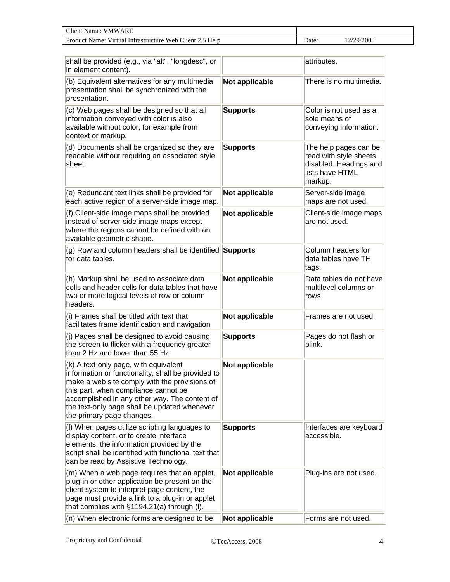| <b>∼u</b><br>ARE<br>7MW<br>:I1ent<br>Name:                                      |      |           |
|---------------------------------------------------------------------------------|------|-----------|
| Client<br>Web<br>Help<br>Product<br>Name:<br>Infrastructure<br>Virtual<br>- د س | Date | :/29/2008 |

| shall be provided (e.g., via "alt", "longdesc", or<br>in element content).                                                                                                                                                                                                                                         |                 | attributes.                                                                                             |
|--------------------------------------------------------------------------------------------------------------------------------------------------------------------------------------------------------------------------------------------------------------------------------------------------------------------|-----------------|---------------------------------------------------------------------------------------------------------|
| (b) Equivalent alternatives for any multimedia<br>presentation shall be synchronized with the<br>presentation.                                                                                                                                                                                                     | Not applicable  | There is no multimedia.                                                                                 |
| (c) Web pages shall be designed so that all<br>information conveyed with color is also<br>available without color, for example from<br>context or markup.                                                                                                                                                          | <b>Supports</b> | Color is not used as a<br>sole means of<br>conveying information.                                       |
| (d) Documents shall be organized so they are<br>readable without requiring an associated style<br>sheet.                                                                                                                                                                                                           | <b>Supports</b> | The help pages can be<br>read with style sheets<br>disabled. Headings and<br>lists have HTML<br>markup. |
| (e) Redundant text links shall be provided for<br>each active region of a server-side image map.                                                                                                                                                                                                                   | Not applicable  | Server-side image<br>maps are not used.                                                                 |
| (f) Client-side image maps shall be provided<br>instead of server-side image maps except<br>where the regions cannot be defined with an<br>available geometric shape.                                                                                                                                              | Not applicable  | Client-side image maps<br>are not used.                                                                 |
| (g) Row and column headers shall be identified Supports<br>for data tables.                                                                                                                                                                                                                                        |                 | Column headers for<br>data tables have TH<br>tags.                                                      |
| (h) Markup shall be used to associate data<br>cells and header cells for data tables that have<br>two or more logical levels of row or column<br>headers.                                                                                                                                                          | Not applicable  | Data tables do not have<br>multilevel columns or<br>rows.                                               |
| (i) Frames shall be titled with text that<br>facilitates frame identification and navigation                                                                                                                                                                                                                       | Not applicable  | Frames are not used.                                                                                    |
| (j) Pages shall be designed to avoid causing<br>the screen to flicker with a frequency greater<br>than 2 Hz and lower than 55 Hz.                                                                                                                                                                                  | <b>Supports</b> | Pages do not flash or<br>blink.                                                                         |
| (k) A text-only page, with equivalent<br>information or functionality, shall be provided to<br>make a web site comply with the provisions of<br>this part, when compliance cannot be<br>accomplished in any other way. The content of<br>the text-only page shall be updated whenever<br>the primary page changes. | Not applicable  |                                                                                                         |
| (I) When pages utilize scripting languages to<br>display content, or to create interface<br>elements, the information provided by the<br>script shall be identified with functional text that<br>can be read by Assistive Technology.                                                                              | <b>Supports</b> | Interfaces are keyboard<br>accessible.                                                                  |
| (m) When a web page requires that an applet,<br>plug-in or other application be present on the<br>client system to interpret page content, the<br>page must provide a link to a plug-in or applet<br>that complies with §1194.21(a) through (I).                                                                   | Not applicable  | Plug-ins are not used.                                                                                  |
| (n) When electronic forms are designed to be                                                                                                                                                                                                                                                                       | Not applicable  | Forms are not used.                                                                                     |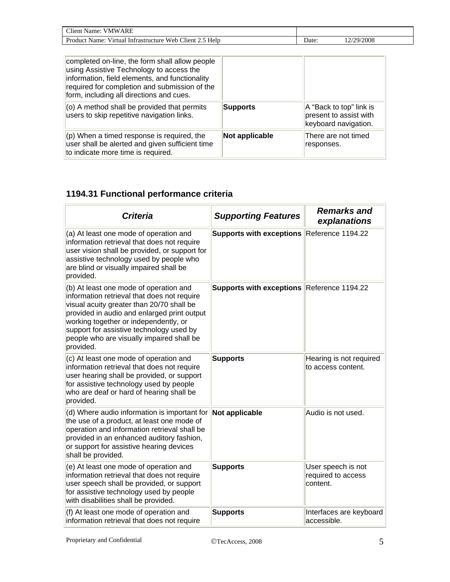| Client Name:<br><b>VMWARE</b>                            |      |          |
|----------------------------------------------------------|------|----------|
| Product Name: Virtual Infrastructure Web Client 2.5 Help | Jate | /29/2008 |

| completed on-line, the form shall allow people<br>using Assistive Technology to access the<br>information, field elements, and functionality<br>required for completion and submission of the<br>form, including all directions and cues. |                 |                                                                           |
|-------------------------------------------------------------------------------------------------------------------------------------------------------------------------------------------------------------------------------------------|-----------------|---------------------------------------------------------------------------|
| (o) A method shall be provided that permits<br>users to skip repetitive navigation links.                                                                                                                                                 | <b>Supports</b> | A "Back to top" link is<br>present to assist with<br>keyboard navigation. |
| $(p)$ When a timed response is required, the<br>user shall be alerted and given sufficient time<br>to indicate more time is required.                                                                                                     | Not applicable  | There are not timed<br>responses.                                         |

### **1194.31 Functional performance criteria**

| <b>Criteria</b>                                                                                                                                                                                                                                                                                                                  | <b>Supporting Features</b>                 | <b>Remarks and</b><br>explanations                   |
|----------------------------------------------------------------------------------------------------------------------------------------------------------------------------------------------------------------------------------------------------------------------------------------------------------------------------------|--------------------------------------------|------------------------------------------------------|
| (a) At least one mode of operation and<br>information retrieval that does not require<br>user vision shall be provided, or support for<br>assistive technology used by people who<br>are blind or visually impaired shall be<br>provided.                                                                                        | <b>Supports with exceptions</b>            | Reference 1194.22                                    |
| (b) At least one mode of operation and<br>information retrieval that does not require<br>visual acuity greater than 20/70 shall be<br>provided in audio and enlarged print output<br>working together or independently, or<br>support for assistive technology used by<br>people who are visually impaired shall be<br>provided. | Supports with exceptions Reference 1194.22 |                                                      |
| (c) At least one mode of operation and<br>information retrieval that does not require<br>user hearing shall be provided, or support<br>for assistive technology used by people<br>who are deaf or hard of hearing shall be<br>provided.                                                                                          | <b>Supports</b>                            | Hearing is not required<br>to access content.        |
| (d) Where audio information is important for<br>the use of a product, at least one mode of<br>operation and information retrieval shall be<br>provided in an enhanced auditory fashion,<br>or support for assistive hearing devices<br>shall be provided.                                                                        | Not applicable                             | Audio is not used.                                   |
| (e) At least one mode of operation and<br>information retrieval that does not require<br>user speech shall be provided, or support<br>for assistive technology used by people<br>with disabilities shall be provided.                                                                                                            | <b>Supports</b>                            | User speech is not<br>required to access<br>content. |
| (f) At least one mode of operation and<br>information retrieval that does not require                                                                                                                                                                                                                                            | <b>Supports</b>                            | Interfaces are keyboard<br>accessible.               |